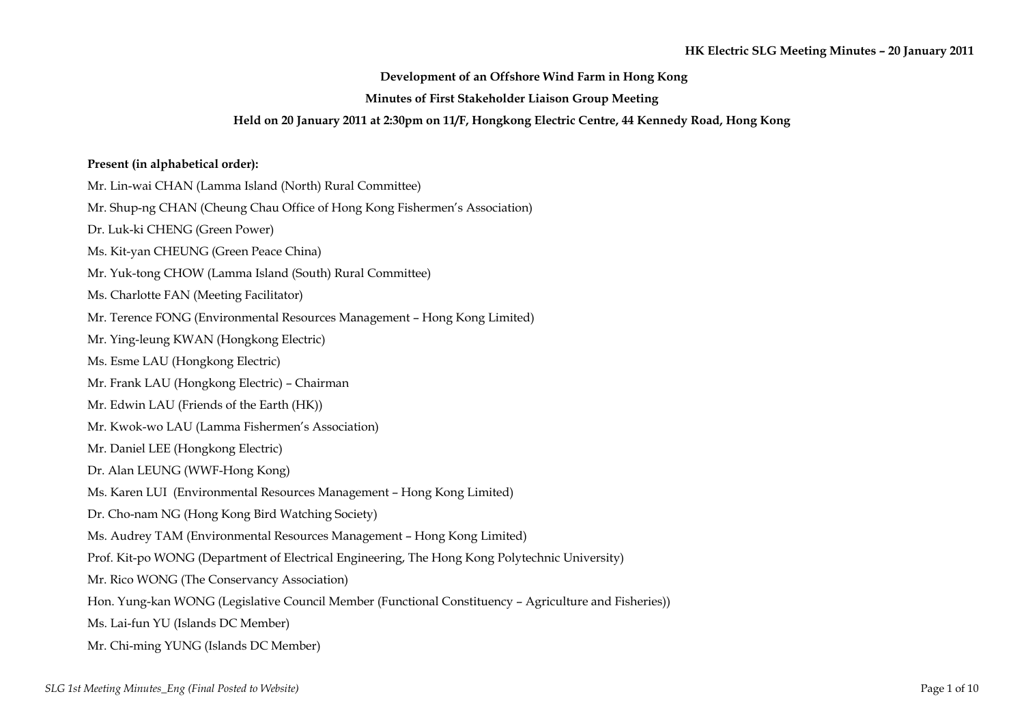## **Development of an Offshore Wind Farm in Hong Kong**

# **Minutes of First Stakeholder Liaison Group Meeting**

#### **Held on 20 January 2011 at 2:30pm on 11/F, Hongkong Electric Centre, 44 Kennedy Road, Hong Kong**

## **Present (in alphabetical order):**

Mr. Lin-wai CHAN (Lamma Island (North) Rural Committee)

Mr. Shup-ng CHAN (Cheung Chau Office of Hong Kong Fishermen's Association)

Dr. Luk-ki CHENG (Green Power)

Ms. Kit-yan CHEUNG (Green Peace China)

Mr. Yuk-tong CHOW (Lamma Island (South) Rural Committee)

Ms. Charlotte FAN (Meeting Facilitator)

Mr. Terence FONG (Environmental Resources Management – Hong Kong Limited)

Mr. Ying-leung KWAN (Hongkong Electric)

Ms. Esme LAU (Hongkong Electric)

Mr. Frank LAU (Hongkong Electric) – Chairman

Mr. Edwin LAU (Friends of the Earth (HK))

Mr. Kwok-wo LAU (Lamma Fishermen's Association)

Mr. Daniel LEE (Hongkong Electric)

Dr. Alan LEUNG (WWF-Hong Kong)

Ms. Karen LUI (Environmental Resources Management – Hong Kong Limited)

Dr. Cho-nam NG (Hong Kong Bird Watching Society)

Ms. Audrey TAM (Environmental Resources Management – Hong Kong Limited)

Prof. Kit-po WONG (Department of Electrical Engineering, The Hong Kong Polytechnic University)

Mr. Rico WONG (The Conservancy Association)

Hon. Yung-kan WONG (Legislative Council Member (Functional Constituency – Agriculture and Fisheries))

Ms. Lai-fun YU (Islands DC Member)

Mr. Chi-ming YUNG (Islands DC Member)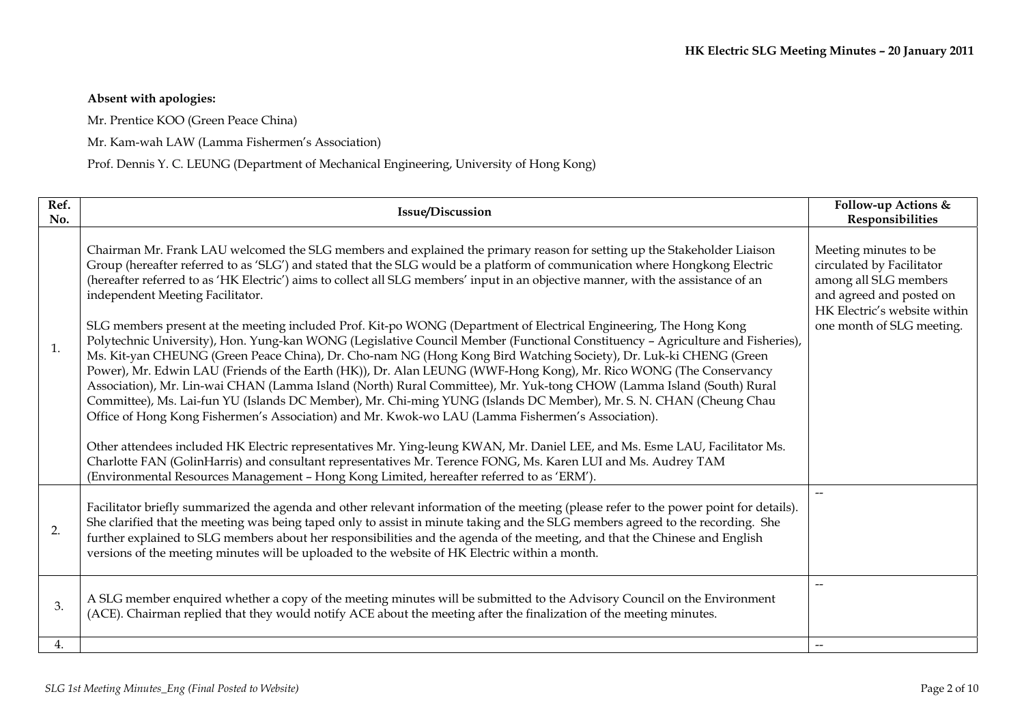# **Absent with apologies:**

Mr. Prentice KOO (Green Peace China)

Mr. Kam-wah LAW (Lamma Fishermen's Association)

Prof. Dennis Y. C. LEUNG (Department of Mechanical Engineering, University of Hong Kong)

| Ref.<br>No. | <b>Issue/Discussion</b>                                                                                                                                                                                                                                                                                                                                                                                                                                                                                                                                                                                                                                                                                                                                                                                                                                                                                                                                                                                                                                                                                                                                                                                                                                                                                                                                                                                                                                                                                                                                                                                                           | Follow-up Actions &<br>Responsibilities                                                                                                                              |
|-------------|-----------------------------------------------------------------------------------------------------------------------------------------------------------------------------------------------------------------------------------------------------------------------------------------------------------------------------------------------------------------------------------------------------------------------------------------------------------------------------------------------------------------------------------------------------------------------------------------------------------------------------------------------------------------------------------------------------------------------------------------------------------------------------------------------------------------------------------------------------------------------------------------------------------------------------------------------------------------------------------------------------------------------------------------------------------------------------------------------------------------------------------------------------------------------------------------------------------------------------------------------------------------------------------------------------------------------------------------------------------------------------------------------------------------------------------------------------------------------------------------------------------------------------------------------------------------------------------------------------------------------------------|----------------------------------------------------------------------------------------------------------------------------------------------------------------------|
| 1.          | Chairman Mr. Frank LAU welcomed the SLG members and explained the primary reason for setting up the Stakeholder Liaison<br>Group (hereafter referred to as 'SLG') and stated that the SLG would be a platform of communication where Hongkong Electric<br>(hereafter referred to as 'HK Electric') aims to collect all SLG members' input in an objective manner, with the assistance of an<br>independent Meeting Facilitator.<br>SLG members present at the meeting included Prof. Kit-po WONG (Department of Electrical Engineering, The Hong Kong<br>Polytechnic University), Hon. Yung-kan WONG (Legislative Council Member (Functional Constituency - Agriculture and Fisheries),<br>Ms. Kit-yan CHEUNG (Green Peace China), Dr. Cho-nam NG (Hong Kong Bird Watching Society), Dr. Luk-ki CHENG (Green<br>Power), Mr. Edwin LAU (Friends of the Earth (HK)), Dr. Alan LEUNG (WWF-Hong Kong), Mr. Rico WONG (The Conservancy<br>Association), Mr. Lin-wai CHAN (Lamma Island (North) Rural Committee), Mr. Yuk-tong CHOW (Lamma Island (South) Rural<br>Committee), Ms. Lai-fun YU (Islands DC Member), Mr. Chi-ming YUNG (Islands DC Member), Mr. S. N. CHAN (Cheung Chau<br>Office of Hong Kong Fishermen's Association) and Mr. Kwok-wo LAU (Lamma Fishermen's Association).<br>Other attendees included HK Electric representatives Mr. Ying-leung KWAN, Mr. Daniel LEE, and Ms. Esme LAU, Facilitator Ms.<br>Charlotte FAN (GolinHarris) and consultant representatives Mr. Terence FONG, Ms. Karen LUI and Ms. Audrey TAM<br>(Environmental Resources Management - Hong Kong Limited, hereafter referred to as 'ERM'). | Meeting minutes to be<br>circulated by Facilitator<br>among all SLG members<br>and agreed and posted on<br>HK Electric's website within<br>one month of SLG meeting. |
| 2.          | Facilitator briefly summarized the agenda and other relevant information of the meeting (please refer to the power point for details).<br>She clarified that the meeting was being taped only to assist in minute taking and the SLG members agreed to the recording. She<br>further explained to SLG members about her responsibilities and the agenda of the meeting, and that the Chinese and English<br>versions of the meeting minutes will be uploaded to the website of HK Electric within a month.                                                                                                                                                                                                                                                                                                                                                                                                                                                                                                                                                                                                                                                                                                                                                                                                                                                                                                                                                                                                                                                                                                                        | $\overline{\phantom{a}}$                                                                                                                                             |
| 3.          | A SLG member enquired whether a copy of the meeting minutes will be submitted to the Advisory Council on the Environment<br>(ACE). Chairman replied that they would notify ACE about the meeting after the finalization of the meeting minutes.                                                                                                                                                                                                                                                                                                                                                                                                                                                                                                                                                                                                                                                                                                                                                                                                                                                                                                                                                                                                                                                                                                                                                                                                                                                                                                                                                                                   | $\overline{\phantom{m}}$                                                                                                                                             |
| 4.          |                                                                                                                                                                                                                                                                                                                                                                                                                                                                                                                                                                                                                                                                                                                                                                                                                                                                                                                                                                                                                                                                                                                                                                                                                                                                                                                                                                                                                                                                                                                                                                                                                                   | $\overline{\phantom{a}}$                                                                                                                                             |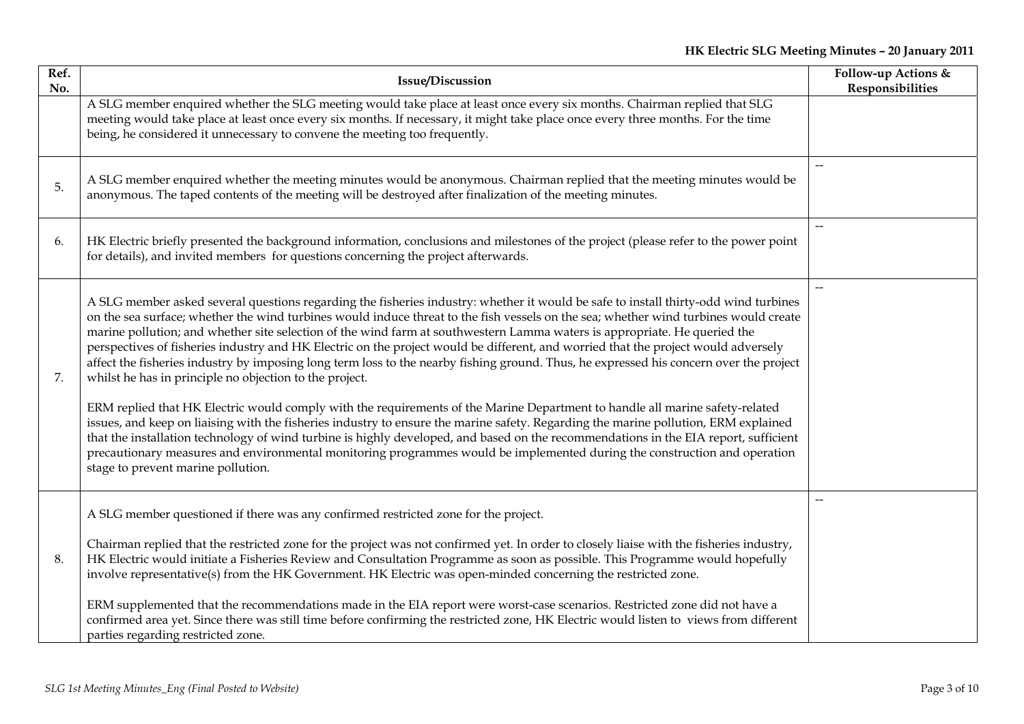| Ref.<br>No. | <b>Issue/Discussion</b>                                                                                                                                                                                                                                                                                                                                                                                                                                                                                                                                                                                                                                                                                                                                                                                                                                                                                                                                                                                                                                                                                                                                                                                                                                                                                                               | Follow-up Actions &<br>Responsibilities |
|-------------|---------------------------------------------------------------------------------------------------------------------------------------------------------------------------------------------------------------------------------------------------------------------------------------------------------------------------------------------------------------------------------------------------------------------------------------------------------------------------------------------------------------------------------------------------------------------------------------------------------------------------------------------------------------------------------------------------------------------------------------------------------------------------------------------------------------------------------------------------------------------------------------------------------------------------------------------------------------------------------------------------------------------------------------------------------------------------------------------------------------------------------------------------------------------------------------------------------------------------------------------------------------------------------------------------------------------------------------|-----------------------------------------|
|             | A SLG member enquired whether the SLG meeting would take place at least once every six months. Chairman replied that SLG<br>meeting would take place at least once every six months. If necessary, it might take place once every three months. For the time<br>being, he considered it unnecessary to convene the meeting too frequently.                                                                                                                                                                                                                                                                                                                                                                                                                                                                                                                                                                                                                                                                                                                                                                                                                                                                                                                                                                                            |                                         |
| 5.          | A SLG member enquired whether the meeting minutes would be anonymous. Chairman replied that the meeting minutes would be<br>anonymous. The taped contents of the meeting will be destroyed after finalization of the meeting minutes.                                                                                                                                                                                                                                                                                                                                                                                                                                                                                                                                                                                                                                                                                                                                                                                                                                                                                                                                                                                                                                                                                                 | $-$                                     |
| 6.          | HK Electric briefly presented the background information, conclusions and milestones of the project (please refer to the power point<br>for details), and invited members for questions concerning the project afterwards.                                                                                                                                                                                                                                                                                                                                                                                                                                                                                                                                                                                                                                                                                                                                                                                                                                                                                                                                                                                                                                                                                                            | $\qquad \qquad -$                       |
| 7.          | A SLG member asked several questions regarding the fisheries industry: whether it would be safe to install thirty-odd wind turbines<br>on the sea surface; whether the wind turbines would induce threat to the fish vessels on the sea; whether wind turbines would create<br>marine pollution; and whether site selection of the wind farm at southwestern Lamma waters is appropriate. He queried the<br>perspectives of fisheries industry and HK Electric on the project would be different, and worried that the project would adversely<br>affect the fisheries industry by imposing long term loss to the nearby fishing ground. Thus, he expressed his concern over the project<br>whilst he has in principle no objection to the project.<br>ERM replied that HK Electric would comply with the requirements of the Marine Department to handle all marine safety-related<br>issues, and keep on liaising with the fisheries industry to ensure the marine safety. Regarding the marine pollution, ERM explained<br>that the installation technology of wind turbine is highly developed, and based on the recommendations in the EIA report, sufficient<br>precautionary measures and environmental monitoring programmes would be implemented during the construction and operation<br>stage to prevent marine pollution. | $-$                                     |
| 8.          | A SLG member questioned if there was any confirmed restricted zone for the project.<br>Chairman replied that the restricted zone for the project was not confirmed yet. In order to closely liaise with the fisheries industry,<br>HK Electric would initiate a Fisheries Review and Consultation Programme as soon as possible. This Programme would hopefully<br>involve representative(s) from the HK Government. HK Electric was open-minded concerning the restricted zone.<br>ERM supplemented that the recommendations made in the EIA report were worst-case scenarios. Restricted zone did not have a<br>confirmed area yet. Since there was still time before confirming the restricted zone, HK Electric would listen to views from different<br>parties regarding restricted zone.                                                                                                                                                                                                                                                                                                                                                                                                                                                                                                                                        |                                         |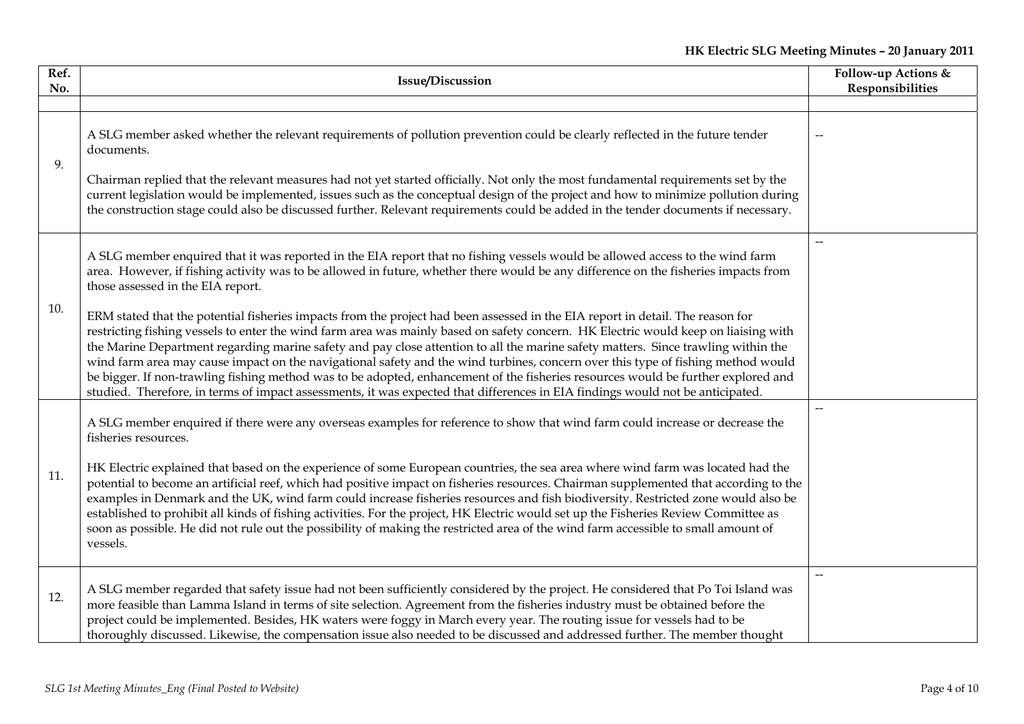| Ref.<br>No. | Issue/Discussion                                                                                                                                                                                                                                                                                                                                                                                                                                                                                                                                                                                                                                                                                                                                                                                                      | Follow-up Actions &<br>Responsibilities |
|-------------|-----------------------------------------------------------------------------------------------------------------------------------------------------------------------------------------------------------------------------------------------------------------------------------------------------------------------------------------------------------------------------------------------------------------------------------------------------------------------------------------------------------------------------------------------------------------------------------------------------------------------------------------------------------------------------------------------------------------------------------------------------------------------------------------------------------------------|-----------------------------------------|
|             |                                                                                                                                                                                                                                                                                                                                                                                                                                                                                                                                                                                                                                                                                                                                                                                                                       |                                         |
| 9.          | A SLG member asked whether the relevant requirements of pollution prevention could be clearly reflected in the future tender<br>documents.                                                                                                                                                                                                                                                                                                                                                                                                                                                                                                                                                                                                                                                                            |                                         |
|             | Chairman replied that the relevant measures had not yet started officially. Not only the most fundamental requirements set by the<br>current legislation would be implemented, issues such as the conceptual design of the project and how to minimize pollution during<br>the construction stage could also be discussed further. Relevant requirements could be added in the tender documents if necessary.                                                                                                                                                                                                                                                                                                                                                                                                         |                                         |
| 10.         | A SLG member enquired that it was reported in the EIA report that no fishing vessels would be allowed access to the wind farm<br>area. However, if fishing activity was to be allowed in future, whether there would be any difference on the fisheries impacts from<br>those assessed in the EIA report.                                                                                                                                                                                                                                                                                                                                                                                                                                                                                                             | --                                      |
|             | ERM stated that the potential fisheries impacts from the project had been assessed in the EIA report in detail. The reason for<br>restricting fishing vessels to enter the wind farm area was mainly based on safety concern. HK Electric would keep on liaising with<br>the Marine Department regarding marine safety and pay close attention to all the marine safety matters. Since trawling within the<br>wind farm area may cause impact on the navigational safety and the wind turbines, concern over this type of fishing method would<br>be bigger. If non-trawling fishing method was to be adopted, enhancement of the fisheries resources would be further explored and<br>studied. Therefore, in terms of impact assessments, it was expected that differences in EIA findings would not be anticipated. |                                         |
| 11.         | A SLG member enquired if there were any overseas examples for reference to show that wind farm could increase or decrease the<br>fisheries resources.                                                                                                                                                                                                                                                                                                                                                                                                                                                                                                                                                                                                                                                                 | --                                      |
|             | HK Electric explained that based on the experience of some European countries, the sea area where wind farm was located had the<br>potential to become an artificial reef, which had positive impact on fisheries resources. Chairman supplemented that according to the<br>examples in Denmark and the UK, wind farm could increase fisheries resources and fish biodiversity. Restricted zone would also be<br>established to prohibit all kinds of fishing activities. For the project, HK Electric would set up the Fisheries Review Committee as<br>soon as possible. He did not rule out the possibility of making the restricted area of the wind farm accessible to small amount of<br>vessels.                                                                                                               |                                         |
| 12.         | A SLG member regarded that safety issue had not been sufficiently considered by the project. He considered that Po Toi Island was<br>more feasible than Lamma Island in terms of site selection. Agreement from the fisheries industry must be obtained before the<br>project could be implemented. Besides, HK waters were foggy in March every year. The routing issue for vessels had to be<br>thoroughly discussed. Likewise, the compensation issue also needed to be discussed and addressed further. The member thought                                                                                                                                                                                                                                                                                        | $\qquad \qquad -$                       |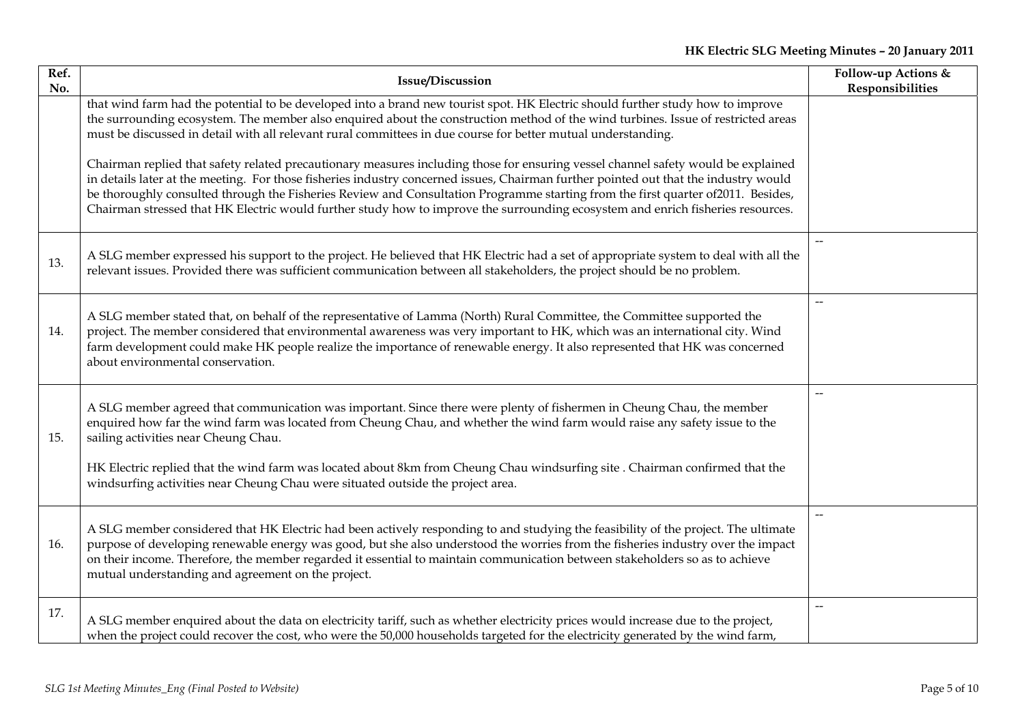| Ref.<br>No. | <b>Issue/Discussion</b>                                                                                                                                                                                                                                                                                                                                                                                                                                                                                                                          | Follow-up Actions &<br>Responsibilities |
|-------------|--------------------------------------------------------------------------------------------------------------------------------------------------------------------------------------------------------------------------------------------------------------------------------------------------------------------------------------------------------------------------------------------------------------------------------------------------------------------------------------------------------------------------------------------------|-----------------------------------------|
|             | that wind farm had the potential to be developed into a brand new tourist spot. HK Electric should further study how to improve<br>the surrounding ecosystem. The member also enquired about the construction method of the wind turbines. Issue of restricted areas<br>must be discussed in detail with all relevant rural committees in due course for better mutual understanding.                                                                                                                                                            |                                         |
|             | Chairman replied that safety related precautionary measures including those for ensuring vessel channel safety would be explained<br>in details later at the meeting. For those fisheries industry concerned issues, Chairman further pointed out that the industry would<br>be thoroughly consulted through the Fisheries Review and Consultation Programme starting from the first quarter of2011. Besides,<br>Chairman stressed that HK Electric would further study how to improve the surrounding ecosystem and enrich fisheries resources. |                                         |
| 13.         | A SLG member expressed his support to the project. He believed that HK Electric had a set of appropriate system to deal with all the<br>relevant issues. Provided there was sufficient communication between all stakeholders, the project should be no problem.                                                                                                                                                                                                                                                                                 | $\overline{\phantom{a}}$                |
| 14.         | A SLG member stated that, on behalf of the representative of Lamma (North) Rural Committee, the Committee supported the<br>project. The member considered that environmental awareness was very important to HK, which was an international city. Wind<br>farm development could make HK people realize the importance of renewable energy. It also represented that HK was concerned<br>about environmental conservation.                                                                                                                       |                                         |
| 15.         | A SLG member agreed that communication was important. Since there were plenty of fishermen in Cheung Chau, the member<br>enquired how far the wind farm was located from Cheung Chau, and whether the wind farm would raise any safety issue to the<br>sailing activities near Cheung Chau.<br>HK Electric replied that the wind farm was located about 8km from Cheung Chau windsurfing site. Chairman confirmed that the<br>windsurfing activities near Cheung Chau were situated outside the project area.                                    | $\overline{\phantom{a}}$                |
| 16.         | A SLG member considered that HK Electric had been actively responding to and studying the feasibility of the project. The ultimate<br>purpose of developing renewable energy was good, but she also understood the worries from the fisheries industry over the impact<br>on their income. Therefore, the member regarded it essential to maintain communication between stakeholders so as to achieve<br>mutual understanding and agreement on the project.                                                                                     | $-$                                     |
| 17.         | A SLG member enquired about the data on electricity tariff, such as whether electricity prices would increase due to the project,<br>when the project could recover the cost, who were the 50,000 households targeted for the electricity generated by the wind farm,                                                                                                                                                                                                                                                                            |                                         |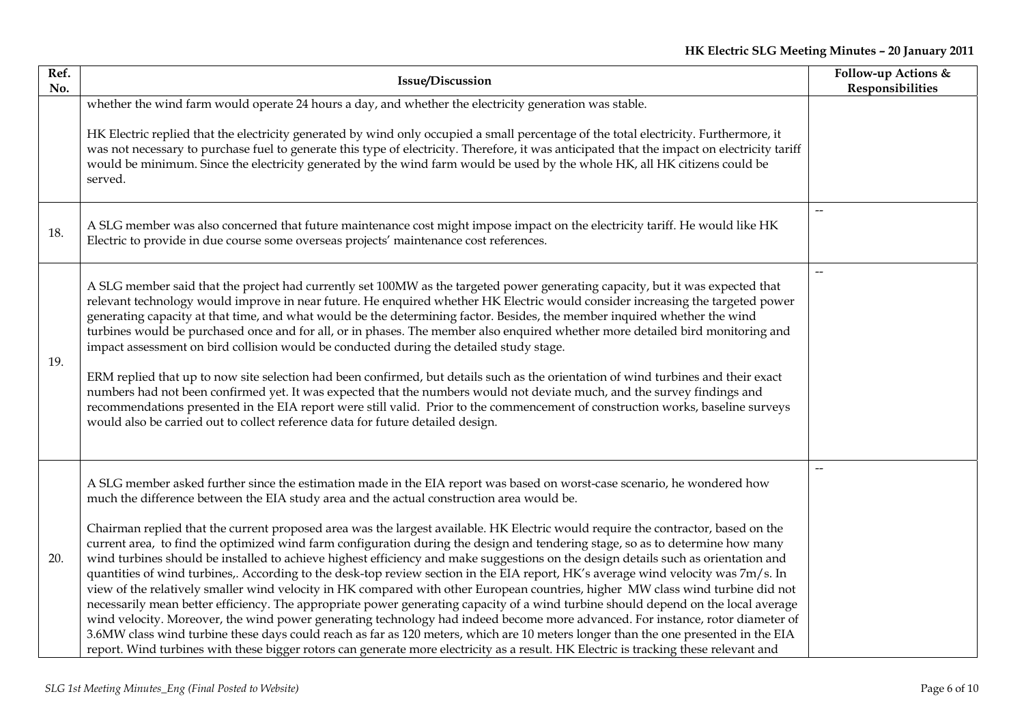| Ref.<br>No. | <b>Issue/Discussion</b>                                                                                                                                                                                                                                                                                                                                                                                                                                                                                                                                                                                                                                                                                                                                                                                                                                                                                                                                                                                                                                                                                                                                                                                                                                                                                                                                                                                                                                          | Follow-up Actions &<br>Responsibilities |
|-------------|------------------------------------------------------------------------------------------------------------------------------------------------------------------------------------------------------------------------------------------------------------------------------------------------------------------------------------------------------------------------------------------------------------------------------------------------------------------------------------------------------------------------------------------------------------------------------------------------------------------------------------------------------------------------------------------------------------------------------------------------------------------------------------------------------------------------------------------------------------------------------------------------------------------------------------------------------------------------------------------------------------------------------------------------------------------------------------------------------------------------------------------------------------------------------------------------------------------------------------------------------------------------------------------------------------------------------------------------------------------------------------------------------------------------------------------------------------------|-----------------------------------------|
|             | whether the wind farm would operate 24 hours a day, and whether the electricity generation was stable.<br>HK Electric replied that the electricity generated by wind only occupied a small percentage of the total electricity. Furthermore, it<br>was not necessary to purchase fuel to generate this type of electricity. Therefore, it was anticipated that the impact on electricity tariff<br>would be minimum. Since the electricity generated by the wind farm would be used by the whole HK, all HK citizens could be<br>served.                                                                                                                                                                                                                                                                                                                                                                                                                                                                                                                                                                                                                                                                                                                                                                                                                                                                                                                         |                                         |
| 18.         | A SLG member was also concerned that future maintenance cost might impose impact on the electricity tariff. He would like HK<br>Electric to provide in due course some overseas projects' maintenance cost references.                                                                                                                                                                                                                                                                                                                                                                                                                                                                                                                                                                                                                                                                                                                                                                                                                                                                                                                                                                                                                                                                                                                                                                                                                                           | $\overline{\phantom{a}}$                |
| 19.         | A SLG member said that the project had currently set 100MW as the targeted power generating capacity, but it was expected that<br>relevant technology would improve in near future. He enquired whether HK Electric would consider increasing the targeted power<br>generating capacity at that time, and what would be the determining factor. Besides, the member inquired whether the wind<br>turbines would be purchased once and for all, or in phases. The member also enquired whether more detailed bird monitoring and<br>impact assessment on bird collision would be conducted during the detailed study stage.<br>ERM replied that up to now site selection had been confirmed, but details such as the orientation of wind turbines and their exact<br>numbers had not been confirmed yet. It was expected that the numbers would not deviate much, and the survey findings and<br>recommendations presented in the EIA report were still valid. Prior to the commencement of construction works, baseline surveys<br>would also be carried out to collect reference data for future detailed design.                                                                                                                                                                                                                                                                                                                                               |                                         |
| 20.         | A SLG member asked further since the estimation made in the EIA report was based on worst-case scenario, he wondered how<br>much the difference between the EIA study area and the actual construction area would be.<br>Chairman replied that the current proposed area was the largest available. HK Electric would require the contractor, based on the<br>current area, to find the optimized wind farm configuration during the design and tendering stage, so as to determine how many<br>wind turbines should be installed to achieve highest efficiency and make suggestions on the design details such as orientation and<br>quantities of wind turbines,. According to the desk-top review section in the EIA report, HK's average wind velocity was 7m/s. In<br>view of the relatively smaller wind velocity in HK compared with other European countries, higher MW class wind turbine did not<br>necessarily mean better efficiency. The appropriate power generating capacity of a wind turbine should depend on the local average<br>wind velocity. Moreover, the wind power generating technology had indeed become more advanced. For instance, rotor diameter of<br>3.6MW class wind turbine these days could reach as far as 120 meters, which are 10 meters longer than the one presented in the EIA<br>report. Wind turbines with these bigger rotors can generate more electricity as a result. HK Electric is tracking these relevant and |                                         |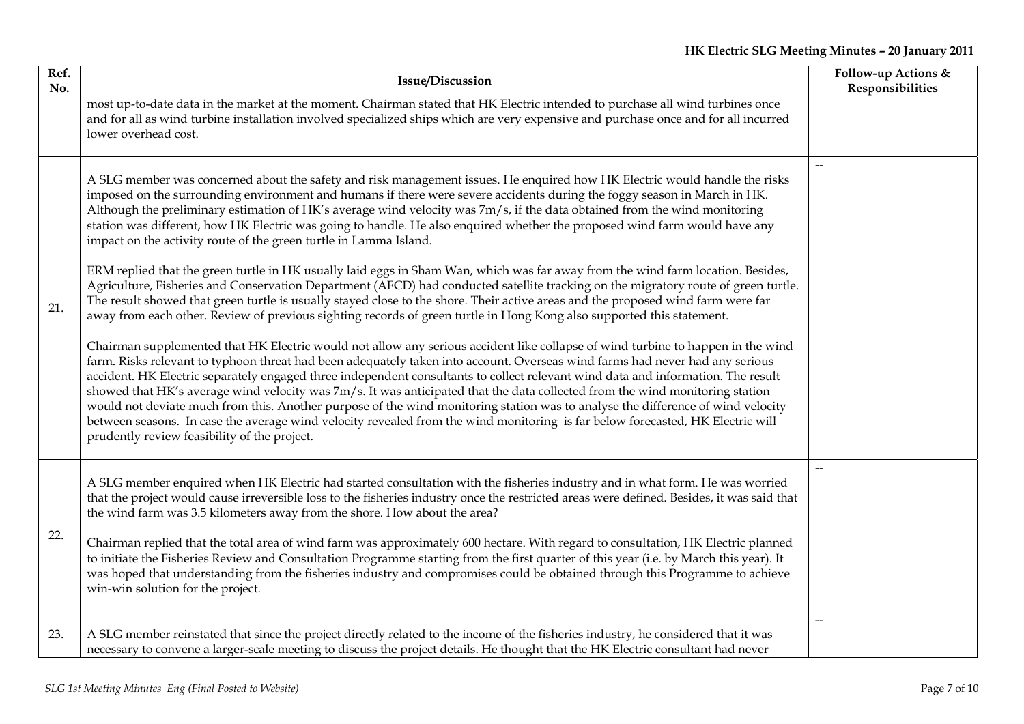| Ref.<br>No. | <b>Issue/Discussion</b>                                                                                                                                                                                                                                                                                                                                                                                                                                                                                                                                                                                                                                                                                                                                                                                                                                                                                                                                                                                                                                                                                                                                                                                                                                                                                                                                                                                                                                                                                                                                                                                                                                                                                                                                                                                                                                                                                                                                                                  | Follow-up Actions &<br>Responsibilities |
|-------------|------------------------------------------------------------------------------------------------------------------------------------------------------------------------------------------------------------------------------------------------------------------------------------------------------------------------------------------------------------------------------------------------------------------------------------------------------------------------------------------------------------------------------------------------------------------------------------------------------------------------------------------------------------------------------------------------------------------------------------------------------------------------------------------------------------------------------------------------------------------------------------------------------------------------------------------------------------------------------------------------------------------------------------------------------------------------------------------------------------------------------------------------------------------------------------------------------------------------------------------------------------------------------------------------------------------------------------------------------------------------------------------------------------------------------------------------------------------------------------------------------------------------------------------------------------------------------------------------------------------------------------------------------------------------------------------------------------------------------------------------------------------------------------------------------------------------------------------------------------------------------------------------------------------------------------------------------------------------------------------|-----------------------------------------|
|             | most up-to-date data in the market at the moment. Chairman stated that HK Electric intended to purchase all wind turbines once<br>and for all as wind turbine installation involved specialized ships which are very expensive and purchase once and for all incurred<br>lower overhead cost.                                                                                                                                                                                                                                                                                                                                                                                                                                                                                                                                                                                                                                                                                                                                                                                                                                                                                                                                                                                                                                                                                                                                                                                                                                                                                                                                                                                                                                                                                                                                                                                                                                                                                            |                                         |
| 21.         | A SLG member was concerned about the safety and risk management issues. He enquired how HK Electric would handle the risks<br>imposed on the surrounding environment and humans if there were severe accidents during the foggy season in March in HK.<br>Although the preliminary estimation of HK's average wind velocity was 7m/s, if the data obtained from the wind monitoring<br>station was different, how HK Electric was going to handle. He also enquired whether the proposed wind farm would have any<br>impact on the activity route of the green turtle in Lamma Island.<br>ERM replied that the green turtle in HK usually laid eggs in Sham Wan, which was far away from the wind farm location. Besides,<br>Agriculture, Fisheries and Conservation Department (AFCD) had conducted satellite tracking on the migratory route of green turtle.<br>The result showed that green turtle is usually stayed close to the shore. Their active areas and the proposed wind farm were far<br>away from each other. Review of previous sighting records of green turtle in Hong Kong also supported this statement.<br>Chairman supplemented that HK Electric would not allow any serious accident like collapse of wind turbine to happen in the wind<br>farm. Risks relevant to typhoon threat had been adequately taken into account. Overseas wind farms had never had any serious<br>accident. HK Electric separately engaged three independent consultants to collect relevant wind data and information. The result<br>showed that HK's average wind velocity was 7m/s. It was anticipated that the data collected from the wind monitoring station<br>would not deviate much from this. Another purpose of the wind monitoring station was to analyse the difference of wind velocity<br>between seasons. In case the average wind velocity revealed from the wind monitoring is far below forecasted, HK Electric will<br>prudently review feasibility of the project. |                                         |
| 22.         | A SLG member enquired when HK Electric had started consultation with the fisheries industry and in what form. He was worried<br>that the project would cause irreversible loss to the fisheries industry once the restricted areas were defined. Besides, it was said that<br>the wind farm was 3.5 kilometers away from the shore. How about the area?<br>Chairman replied that the total area of wind farm was approximately 600 hectare. With regard to consultation, HK Electric planned<br>to initiate the Fisheries Review and Consultation Programme starting from the first quarter of this year (i.e. by March this year). It<br>was hoped that understanding from the fisheries industry and compromises could be obtained through this Programme to achieve<br>win-win solution for the project.                                                                                                                                                                                                                                                                                                                                                                                                                                                                                                                                                                                                                                                                                                                                                                                                                                                                                                                                                                                                                                                                                                                                                                              |                                         |
| 23.         | A SLG member reinstated that since the project directly related to the income of the fisheries industry, he considered that it was<br>necessary to convene a larger-scale meeting to discuss the project details. He thought that the HK Electric consultant had never                                                                                                                                                                                                                                                                                                                                                                                                                                                                                                                                                                                                                                                                                                                                                                                                                                                                                                                                                                                                                                                                                                                                                                                                                                                                                                                                                                                                                                                                                                                                                                                                                                                                                                                   |                                         |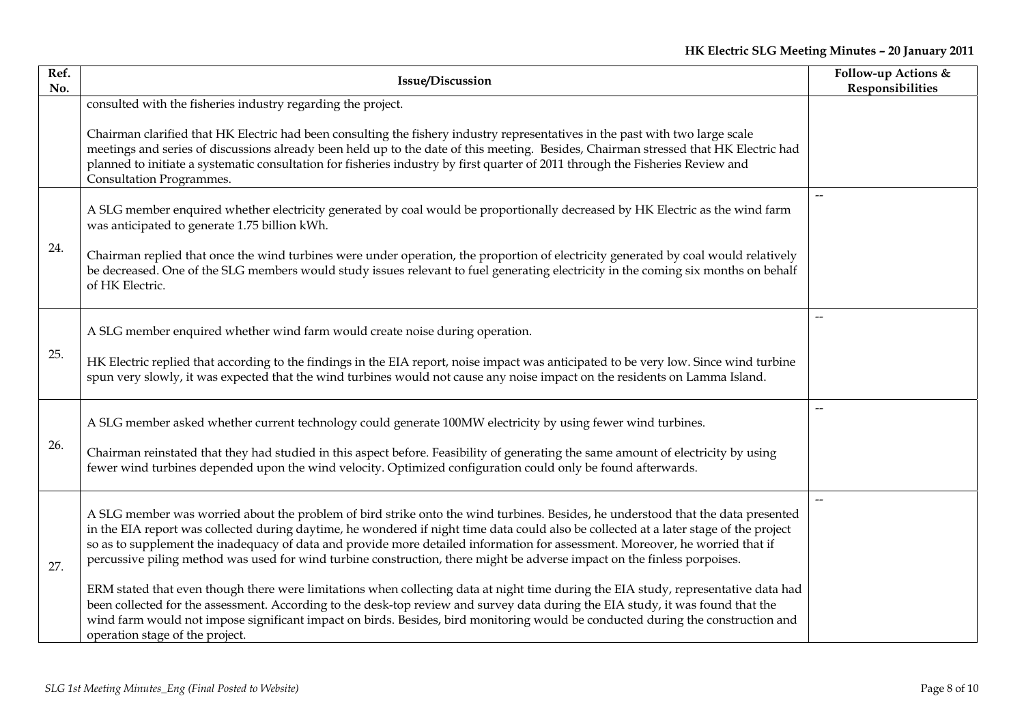| Ref.<br>No. | <b>Issue/Discussion</b>                                                                                                                                                                                                                                                                                                                                                                                                                                                                                                                 | Follow-up Actions &<br>Responsibilities |
|-------------|-----------------------------------------------------------------------------------------------------------------------------------------------------------------------------------------------------------------------------------------------------------------------------------------------------------------------------------------------------------------------------------------------------------------------------------------------------------------------------------------------------------------------------------------|-----------------------------------------|
|             | consulted with the fisheries industry regarding the project.                                                                                                                                                                                                                                                                                                                                                                                                                                                                            |                                         |
|             | Chairman clarified that HK Electric had been consulting the fishery industry representatives in the past with two large scale<br>meetings and series of discussions already been held up to the date of this meeting. Besides, Chairman stressed that HK Electric had<br>planned to initiate a systematic consultation for fisheries industry by first quarter of 2011 through the Fisheries Review and<br>Consultation Programmes.                                                                                                     |                                         |
|             | A SLG member enquired whether electricity generated by coal would be proportionally decreased by HK Electric as the wind farm<br>was anticipated to generate 1.75 billion kWh.                                                                                                                                                                                                                                                                                                                                                          |                                         |
| 24.         | Chairman replied that once the wind turbines were under operation, the proportion of electricity generated by coal would relatively<br>be decreased. One of the SLG members would study issues relevant to fuel generating electricity in the coming six months on behalf<br>of HK Electric.                                                                                                                                                                                                                                            |                                         |
| 25.         | A SLG member enquired whether wind farm would create noise during operation.                                                                                                                                                                                                                                                                                                                                                                                                                                                            | $\overline{\phantom{0}}$                |
|             | HK Electric replied that according to the findings in the EIA report, noise impact was anticipated to be very low. Since wind turbine<br>spun very slowly, it was expected that the wind turbines would not cause any noise impact on the residents on Lamma Island.                                                                                                                                                                                                                                                                    |                                         |
| 26.         | A SLG member asked whether current technology could generate 100MW electricity by using fewer wind turbines.                                                                                                                                                                                                                                                                                                                                                                                                                            |                                         |
|             | Chairman reinstated that they had studied in this aspect before. Feasibility of generating the same amount of electricity by using<br>fewer wind turbines depended upon the wind velocity. Optimized configuration could only be found afterwards.                                                                                                                                                                                                                                                                                      |                                         |
| 27.         | A SLG member was worried about the problem of bird strike onto the wind turbines. Besides, he understood that the data presented<br>in the EIA report was collected during daytime, he wondered if night time data could also be collected at a later stage of the project<br>so as to supplement the inadequacy of data and provide more detailed information for assessment. Moreover, he worried that if<br>percussive piling method was used for wind turbine construction, there might be adverse impact on the finless porpoises. |                                         |
|             | ERM stated that even though there were limitations when collecting data at night time during the EIA study, representative data had<br>been collected for the assessment. According to the desk-top review and survey data during the EIA study, it was found that the<br>wind farm would not impose significant impact on birds. Besides, bird monitoring would be conducted during the construction and<br>operation stage of the project.                                                                                            |                                         |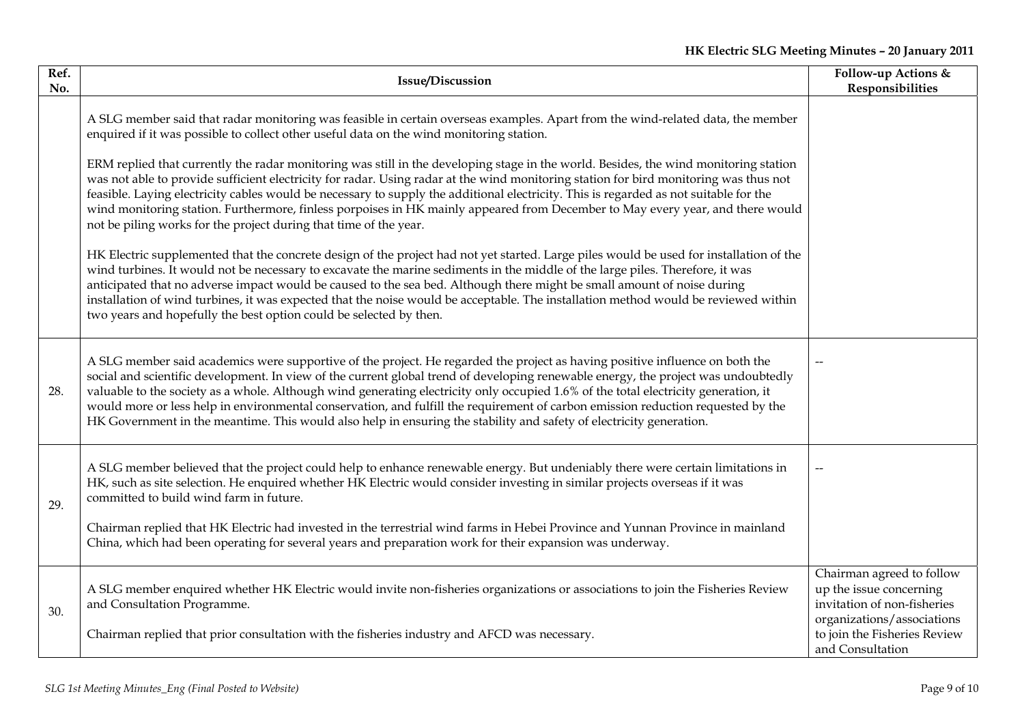| Ref.<br>No. | <b>Issue/Discussion</b>                                                                                                                                                                                                                                                                                                                                                                                                                                                                                                                                                                                                                                                                                                                                                                                                                                                                                                                                                                                                                                                                                                                                                                                                                                                                                                                                                                                                                                                          | Follow-up Actions &<br>Responsibilities                                                                                                                               |
|-------------|----------------------------------------------------------------------------------------------------------------------------------------------------------------------------------------------------------------------------------------------------------------------------------------------------------------------------------------------------------------------------------------------------------------------------------------------------------------------------------------------------------------------------------------------------------------------------------------------------------------------------------------------------------------------------------------------------------------------------------------------------------------------------------------------------------------------------------------------------------------------------------------------------------------------------------------------------------------------------------------------------------------------------------------------------------------------------------------------------------------------------------------------------------------------------------------------------------------------------------------------------------------------------------------------------------------------------------------------------------------------------------------------------------------------------------------------------------------------------------|-----------------------------------------------------------------------------------------------------------------------------------------------------------------------|
|             | A SLG member said that radar monitoring was feasible in certain overseas examples. Apart from the wind-related data, the member<br>enquired if it was possible to collect other useful data on the wind monitoring station.<br>ERM replied that currently the radar monitoring was still in the developing stage in the world. Besides, the wind monitoring station<br>was not able to provide sufficient electricity for radar. Using radar at the wind monitoring station for bird monitoring was thus not<br>feasible. Laying electricity cables would be necessary to supply the additional electricity. This is regarded as not suitable for the<br>wind monitoring station. Furthermore, finless porpoises in HK mainly appeared from December to May every year, and there would<br>not be piling works for the project during that time of the year.<br>HK Electric supplemented that the concrete design of the project had not yet started. Large piles would be used for installation of the<br>wind turbines. It would not be necessary to excavate the marine sediments in the middle of the large piles. Therefore, it was<br>anticipated that no adverse impact would be caused to the sea bed. Although there might be small amount of noise during<br>installation of wind turbines, it was expected that the noise would be acceptable. The installation method would be reviewed within<br>two years and hopefully the best option could be selected by then. |                                                                                                                                                                       |
| 28.         | A SLG member said academics were supportive of the project. He regarded the project as having positive influence on both the<br>social and scientific development. In view of the current global trend of developing renewable energy, the project was undoubtedly<br>valuable to the society as a whole. Although wind generating electricity only occupied 1.6% of the total electricity generation, it<br>would more or less help in environmental conservation, and fulfill the requirement of carbon emission reduction requested by the<br>HK Government in the meantime. This would also help in ensuring the stability and safety of electricity generation.                                                                                                                                                                                                                                                                                                                                                                                                                                                                                                                                                                                                                                                                                                                                                                                                             |                                                                                                                                                                       |
| 29.         | A SLG member believed that the project could help to enhance renewable energy. But undeniably there were certain limitations in<br>HK, such as site selection. He enquired whether HK Electric would consider investing in similar projects overseas if it was<br>committed to build wind farm in future.<br>Chairman replied that HK Electric had invested in the terrestrial wind farms in Hebei Province and Yunnan Province in mainland<br>China, which had been operating for several years and preparation work for their expansion was underway.                                                                                                                                                                                                                                                                                                                                                                                                                                                                                                                                                                                                                                                                                                                                                                                                                                                                                                                          |                                                                                                                                                                       |
| 30.         | A SLG member enquired whether HK Electric would invite non-fisheries organizations or associations to join the Fisheries Review<br>and Consultation Programme.<br>Chairman replied that prior consultation with the fisheries industry and AFCD was necessary.                                                                                                                                                                                                                                                                                                                                                                                                                                                                                                                                                                                                                                                                                                                                                                                                                                                                                                                                                                                                                                                                                                                                                                                                                   | Chairman agreed to follow<br>up the issue concerning<br>invitation of non-fisheries<br>organizations/associations<br>to join the Fisheries Review<br>and Consultation |